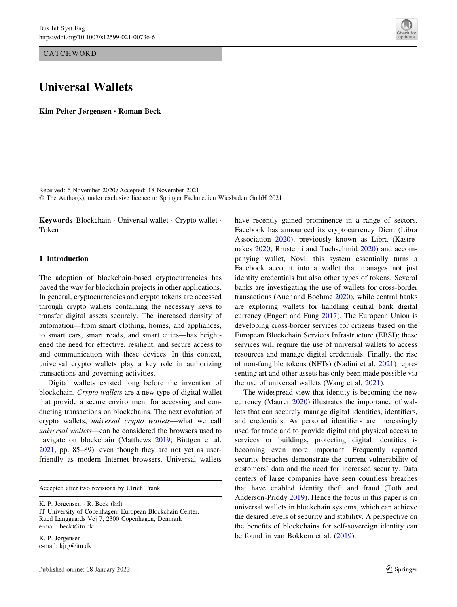**CATCHWORD** 

# Universal Wallets

Kim Peiter Jørgensen • Roman Beck

Received: 6 November 2020 / Accepted: 18 November 2021 © The Author(s), under exclusive licence to Springer Fachmedien Wiesbaden GmbH 2021

Keywords Blockchain · Universal wallet · Crypto wallet · Token

# 1 Introduction

The adoption of blockchain-based cryptocurrencies has paved the way for blockchain projects in other applications. In general, cryptocurrencies and crypto tokens are accessed through crypto wallets containing the necessary keys to transfer digital assets securely. The increased density of automation—from smart clothing, homes, and appliances, to smart cars, smart roads, and smart cities—has heightened the need for effective, resilient, and secure access to and communication with these devices. In this context, universal crypto wallets play a key role in authorizing transactions and governing activities.

Digital wallets existed long before the invention of blockchain. Crypto wallets are a new type of digital wallet that provide a secure environment for accessing and conducting transactions on blockchains. The next evolution of crypto wallets, universal crypto wallets—what we call universal wallets—can be considered the browsers used to navigate on blockchain (Matthews [2019](#page-10-0); Büttgen et al. [2021,](#page-9-0) pp. 85–89), even though they are not yet as userfriendly as modern Internet browsers. Universal wallets

Accepted after two revisions by Ulrich Frank.

K. P. Jørgensen · R. Beck ( $\boxtimes$ )

K. P. Jørgensen e-mail: kjrg@itu.dk



The widespread view that identity is becoming the new currency (Maurer [2020\)](#page-10-0) illustrates the importance of wallets that can securely manage digital identities, identifiers, and credentials. As personal identifiers are increasingly used for trade and to provide digital and physical access to services or buildings, protecting digital identities is becoming even more important. Frequently reported security breaches demonstrate the current vulnerability of customers' data and the need for increased security. Data centers of large companies have seen countless breaches that have enabled identity theft and fraud (Toth and Anderson-Priddy [2019](#page-10-0)). Hence the focus in this paper is on universal wallets in blockchain systems, which can achieve the desired levels of security and stability. A perspective on the benefits of blockchains for self-sovereign identity can be found in van Bokkem et al. ([2019\)](#page-9-0).



IT University of Copenhagen, European Blockchain Center, Rued Langgaards Vej 7, 2300 Copenhagen, Denmark e-mail: beck@itu.dk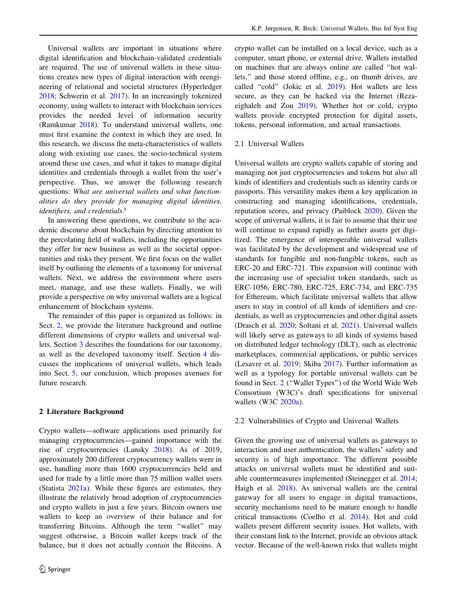Universal wallets are important in situations where digital identification and blockchain-validated credentials are required. The use of universal wallets in these situations creates new types of digital interaction with reengineering of relational and societal structures (Hyperledger [2018;](#page-9-0) Schwerin et al. [2017](#page-10-0)). In an increasingly tokenized economy, using wallets to interact with blockchain services provides the needed level of information security (Ramkumar [2018](#page-10-0)). To understand universal wallets, one must first examine the context in which they are used. In this research, we discuss the meta-characteristics of wallets along with existing use cases, the socio-technical system around these use cases, and what it takes to manage digital identities and credentials through a wallet from the user's perspective. Thus, we answer the following research questions: What are universal wallets and what functionalities do they provide for managing digital identities, identifiers, and credentials?

In answering these questions, we contribute to the academic discourse about blockchain by directing attention to the percolating field of wallets, including the opportunities they offer for new business as well as the societal opportunities and risks they present. We first focus on the wallet itself by outlining the elements of a taxonomy for universal wallets. Next, we address the environment where users meet, manage, and use these wallets. Finally, we will provide a perspective on why universal wallets are a logical enhancement of blockchain systems.

The remainder of this paper is organized as follows: in Sect. 2, we provide the literature background and outline different dimensions of crypto wallets and universal wallets. Section [3](#page-3-0) describes the foundations for our taxonomy, as well as the developed taxonomy itself. Section [4](#page-7-0) discusses the implications of universal wallets, which leads into Sect. [5,](#page-7-0) our conclusion, which proposes avenues for future research.

#### 2 Literature Background

Crypto wallets—software applications used primarily for managing cryptocurrencies—gained importance with the rise of cryptocurrencies (Lansky [2018\)](#page-9-0). As of 2019, approximately 200 different cryptocurrency wallets were in use, handling more than 1600 cryptocurrencies held and used for trade by a little more than 75 million wallet users (Statista [2021a](#page-10-0)). While these figures are estimates, they illustrate the relatively broad adoption of cryptocurrencies and crypto wallets in just a few years. Bitcoin owners use wallets to keep an overview of their balance and for transferring Bitcoins. Although the term ''wallet'' may suggest otherwise, a Bitcoin wallet keeps track of the balance, but it does not actually contain the Bitcoins. A crypto wallet can be installed on a local device, such as a computer, smart phone, or external drive. Wallets installed on machines that are always online are called ''hot wallets,'' and those stored offline, e.g., on thumb drives, are called ''cold'' (Jokic et al. [2019\)](#page-9-0). Hot wallets are less secure, as they can be hacked via the Internet (Rezaeighaleh and Zou [2019](#page-10-0)). Whether hot or cold, crypto wallets provide encrypted protection for digital assets, tokens, personal information, and actual transactions.

# 2.1 Universal Wallets

Universal wallets are crypto wallets capable of storing and managing not just cryptocurrencies and tokens but also all kinds of identifiers and credentials such as identity cards or passports. This versatility makes them a key application in constructing and managing identifications, credentials, reputation scores, and privacy (Paiblock [2020\)](#page-10-0). Given the scope of universal wallets, it is fair to assume that their use will continue to expand rapidly as further assets get digitized. The emergence of interoperable universal wallets was facilitated by the development and widespread use of standards for fungible and non-fungible tokens, such as ERC-20 and ERC-721. This expansion will continue with the increasing use of specialist token standards, such as ERC-1056, ERC-780, ERC-725, ERC-734, and ERC-735 for Ethereum, which facilitate universal wallets that allow users to stay in control of all kinds of identifiers and credentials, as well as cryptocurrencies and other digital assets (Drasch et al. [2020](#page-9-0); Soltani et al. [2021\)](#page-10-0). Universal wallets will likely serve as gateways to all kinds of systems based on distributed ledger technology (DLT), such as electronic marketplaces, commercial applications, or public services (Lesavre et al. [2019](#page-9-0); Skiba [2017](#page-10-0)). Further information as well as a typology for portable universal wallets can be found in Sect. 2 (''Wallet Types'') of the World Wide Web Consortium (W3C)'s draft specifications for universal wallets (W3C [2020a](#page-10-0)).

## 2.2 Vulnerabilities of Crypto and Universal Wallets

Given the growing use of universal wallets as gateways to interaction and user authentication, the wallets' safety and security is of high importance. The different possible attacks on universal wallets must be identified and suitable countermeasures implemented (Steinegger et al. [2014](#page-10-0); Haigh et al. [2018\)](#page-9-0). As universal wallets are the central gateway for all users to engage in digital transactions, security mechanisms need to be mature enough to handle critical transactions (Coelho et al. [2014\)](#page-9-0). Hot and cold wallets present different security issues. Hot wallets, with their constant link to the Internet, provide an obvious attack vector. Because of the well-known risks that wallets might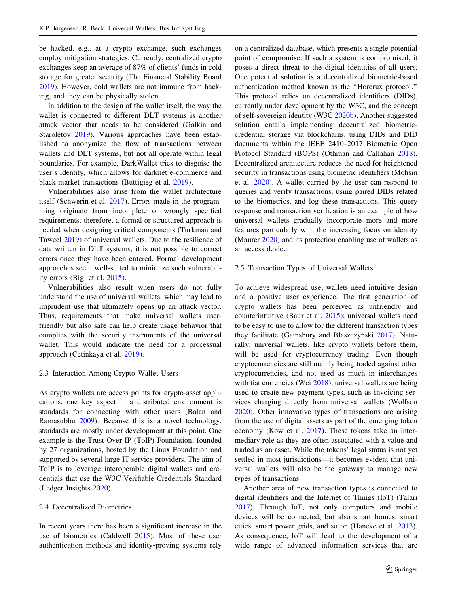be hacked, e.g., at a crypto exchange, such exchanges employ mitigation strategies. Currently, centralized crypto exchanges keep an average of 87% of clients' funds in cold storage for greater security (The Financial Stability Board [2019\)](#page-10-0). However, cold wallets are not immune from hacking, and they can be physically stolen.

In addition to the design of the wallet itself, the way the wallet is connected to different DLT systems is another attack vector that needs to be considered (Galkin and Staroletov [2019\)](#page-9-0). Various approaches have been established to anonymize the flow of transactions between wallets and DLT systems, but not all operate within legal boundaries. For example, DarkWallet tries to disguise the user's identity, which allows for darknet e-commerce and black-market transactions (Buttigieg et al. [2019](#page-9-0)).

Vulnerabilities also arise from the wallet architecture itself (Schwerin et al. [2017\)](#page-10-0). Errors made in the programming originate from incomplete or wrongly specified requirements; therefore, a formal or structured approach is needed when designing critical components (Turkman and Taweel [2019](#page-10-0)) of universal wallets. Due to the resilience of data written in DLT systems, it is not possible to correct errors once they have been entered. Formal development approaches seem well-suited to minimize such vulnerability errors (Bigi et al. [2015](#page-9-0)).

Vulnerabilities also result when users do not fully understand the use of universal wallets, which may lead to imprudent use that ultimately opens up an attack vector. Thus, requirements that make universal wallets userfriendly but also safe can help create usage behavior that complies with the security instruments of the universal wallet. This would indicate the need for a processual approach (Cetinkaya et al. [2019\)](#page-9-0).

#### 2.3 Interaction Among Crypto Wallet Users

As crypto wallets are access points for crypto-asset applications, one key aspect in a distributed environment is standards for connecting with other users (Balan and Ramasubbu [2009](#page-9-0)). Because this is a novel technology, standards are mostly under development at this point. One example is the Trust Over IP (ToIP) Foundation, founded by 27 organizations, hosted by the Linux Foundation and supported by several large IT service providers. The aim of ToIP is to leverage interoperable digital wallets and credentials that use the W3C Verifiable Credentials Standard (Ledger Insights [2020\)](#page-9-0).

## 2.4 Decentralized Biometrics

In recent years there has been a significant increase in the use of biometrics (Caldwell [2015\)](#page-9-0). Most of these user authentication methods and identity-proving systems rely on a centralized database, which presents a single potential point of compromise. If such a system is compromised, it poses a direct threat to the digital identities of all users. One potential solution is a decentralized biometric-based authentication method known as the ''Horcrux protocol.'' This protocol relies on decentralized identifiers (DIDs), currently under development by the W3C, and the concept of self-sovereign identity (W3C [2020b](#page-10-0)). Another suggested solution entails implementing decentralized biometriccredential storage via blockchains, using DIDs and DID documents within the IEEE 2410–2017 Biometric Open Protocol Standard (BOPS) (Othman and Callahan [2018](#page-10-0)). Decentralized architecture reduces the need for heightened security in transactions using biometric identifiers (Mohsin et al. [2020](#page-10-0)). A wallet carried by the user can respond to queries and verify transactions, using paired DIDs related to the biometrics, and log these transactions. This query response and transaction verification is an example of how universal wallets gradually incorporate more and more features particularly with the increasing focus on identity (Maurer [2020\)](#page-10-0) and its protection enabling use of wallets as an access device.

## 2.5 Transaction Types of Universal Wallets

To achieve widespread use, wallets need intuitive design and a positive user experience. The first generation of crypto wallets has been perceived as unfriendly and counterintuitive (Baur et al. [2015\)](#page-9-0); universal wallets need to be easy to use to allow for the different transaction types they facilitate (Gainsbury and Blaszczynski [2017\)](#page-9-0). Naturally, universal wallets, like crypto wallets before them, will be used for cryptocurrency trading. Even though cryptocurrencies are still mainly being traded against other cryptocurrencies, and not used as much in interchanges with fiat currencies (Wei [2018](#page-10-0)), universal wallets are being used to create new payment types, such as invoicing services charging directly from universal wallets (Wolfson [2020](#page-10-0)). Other innovative types of transactions are arising from the use of digital assets as part of the emerging token economy (Kow et al. [2017](#page-9-0)). These tokens take an intermediary role as they are often associated with a value and traded as an asset. While the tokens' legal status is not yet settled in most jurisdictions—it becomes evident that universal wallets will also be the gateway to manage new types of transactions.

Another area of new transaction types is connected to digital identifiers and the Internet of Things (IoT) (Talari [2017](#page-10-0)). Through IoT, not only computers and mobile devices will be connected, but also smart homes, smart cities, smart power grids, and so on (Hancke et al. [2013](#page-9-0)). As consequence, IoT will lead to the development of a wide range of advanced information services that are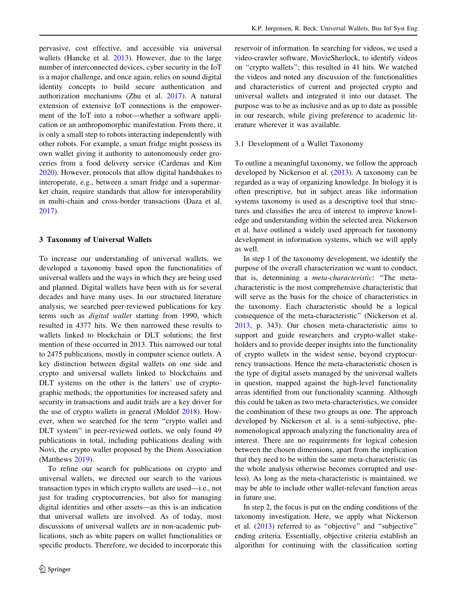<span id="page-3-0"></span>pervasive, cost effective, and accessible via universal wallets (Hancke et al. [2013\)](#page-9-0). However, due to the large number of interconnected devices, cyber security in the IoT is a major challenge, and once again, relies on sound digital identity concepts to build secure authentication and authorization mechanisms (Zhu et al. [2017](#page-10-0)). A natural extension of extensive IoT connections is the empowerment of the IoT into a robot—whether a software application or an anthropomorphic manifestation. From there, it is only a small step to robots interacting independently with other robots. For example, a smart fridge might possess its own wallet giving it authority to autonomously order groceries from a food delivery service (Cardenas and Kim [2020\)](#page-9-0). However, protocols that allow digital handshakes to interoperate, e.g., between a smart fridge and a supermarket chain, require standards that allow for interoperability in multi-chain and cross-border transactions (Daza et al. [2017\)](#page-9-0).

# 3 Taxonomy of Universal Wallets

To increase our understanding of universal wallets, we developed a taxonomy based upon the functionalities of universal wallets and the ways in which they are being used and planned. Digital wallets have been with us for several decades and have many uses. In our structured literature analysis, we searched peer-reviewed publications for key terms such as digital wallet starting from 1990, which resulted in 4377 hits. We then narrowed these results to wallets linked to blockchain or DLT solutions; the first mention of these occurred in 2013. This narrowed our total to 2475 publications, mostly in computer science outlets. A key distinction between digital wallets on one side and crypto and universal wallets linked to blockchains and DLT systems on the other is the latters' use of cryptographic methods; the opportunities for increased safety and security in transactions and audit trails are a key driver for the use of crypto wallets in general (Moldof [2018](#page-10-0)). However, when we searched for the term ''crypto wallet and DLT system'' in peer-reviewed outlets, we only found 49 publications in total, including publications dealing with Novi, the crypto wallet proposed by the Diem Association (Matthews [2019](#page-10-0)).

To refine our search for publications on crypto and universal wallets, we directed our search to the various transaction types in which crypto wallets are used—i.e., not just for trading cryptocurrencies, but also for managing digital identities and other assets—as this is an indication that universal wallets are involved. As of today, most discussions of universal wallets are in non-academic publications, such as white papers on wallet functionalities or specific products. Therefore, we decided to incorporate this reservoir of information. In searching for videos, we used a video-crawler software, MovieSherlock, to identify videos on ''crypto wallets''; this resulted in 41 hits. We watched the videos and noted any discussion of the functionalities and characteristics of current and projected crypto and universal wallets and integrated it into our dataset. The purpose was to be as inclusive and as up to date as possible in our research, while giving preference to academic literature wherever it was available.

# 3.1 Development of a Wallet Taxonomy

To outline a meaningful taxonomy, we follow the approach developed by Nickerson et al. ([2013\)](#page-10-0). A taxonomy can be regarded as a way of organizing knowledge. In biology it is often prescriptive, but in subject areas like information systems taxonomy is used as a descriptive tool that structures and classifies the area of interest to improve knowledge and understanding within the selected area. Nickerson et al. have outlined a widely used approach for taxonomy development in information systems, which we will apply as well.

In step 1 of the taxonomy development, we identify the purpose of the overall characterization we want to conduct, that is, determining a meta-characteristic: ''The metacharacteristic is the most comprehensive characteristic that will serve as the basis for the choice of characteristics in the taxonomy. Each characteristic should be a logical consequence of the meta-characteristic'' (Nickerson et al. [2013](#page-10-0), p. 343). Our chosen meta-characteristic aims to support and guide researchers and crypto-wallet stakeholders and to provide deeper insights into the functionality of crypto wallets in the widest sense, beyond cryptocurrency transactions. Hence the meta-characteristic chosen is the type of digital assets managed by the universal wallets in question, mapped against the high-level functionality areas identified from our functionality scanning. Although this could be taken as two meta-characteristics, we consider the combination of these two groups as one. The approach developed by Nickerson et al. is a semi-subjective, phenomenological approach analyzing the functionality area of interest. There are no requirements for logical cohesion between the chosen dimensions, apart from the implication that they need to be within the same meta-characteristic (as the whole analysis otherwise becomes corrupted and useless). As long as the meta-characteristic is maintained, we may be able to include other wallet-relevant function areas in future use.

In step 2, the focus is put on the ending conditions of the taxonomy investigation. Here, we apply what Nickerson et al. ([2013\)](#page-10-0) referred to as ''objective'' and ''subjective'' ending criteria. Essentially, objective criteria establish an algorithm for continuing with the classification sorting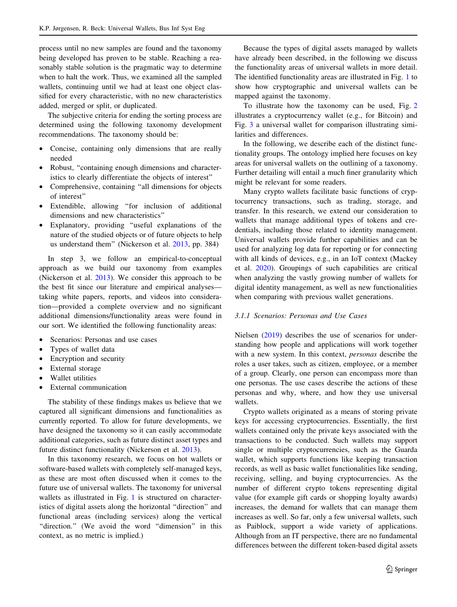process until no new samples are found and the taxonomy being developed has proven to be stable. Reaching a reasonably stable solution is the pragmatic way to determine when to halt the work. Thus, we examined all the sampled wallets, continuing until we had at least one object classified for every characteristic, with no new characteristics added, merged or split, or duplicated.

The subjective criteria for ending the sorting process are determined using the following taxonomy development recommendations. The taxonomy should be:

- Concise, containing only dimensions that are really needed
- Robust, "containing enough dimensions and characteristics to clearly differentiate the objects of interest''
- Comprehensive, containing ''all dimensions for objects of interest''
- Extendible, allowing ''for inclusion of additional dimensions and new characteristics''
- Explanatory, providing ''useful explanations of the nature of the studied objects or of future objects to help us understand them'' (Nickerson et al. [2013](#page-10-0), pp. 384)

In step 3, we follow an empirical-to-conceptual approach as we build our taxonomy from examples (Nickerson et al. [2013](#page-10-0)). We consider this approach to be the best fit since our literature and empirical analyses taking white papers, reports, and videos into consideration—provided a complete overview and no significant additional dimensions/functionality areas were found in our sort. We identified the following functionality areas:

- Scenarios: Personas and use cases
- Types of wallet data
- Encryption and security
- External storage
- Wallet utilities
- External communication

The stability of these findings makes us believe that we captured all significant dimensions and functionalities as currently reported. To allow for future developments, we have designed the taxonomy so it can easily accommodate additional categories, such as future distinct asset types and future distinct functionality (Nickerson et al. [2013](#page-10-0)).

In this taxonomy research, we focus on hot wallets or software-based wallets with completely self-managed keys, as these are most often discussed when it comes to the future use of universal wallets. The taxonomy for universal wallets as illustrated in Fig. [1](#page-5-0) is structured on characteristics of digital assets along the horizontal ''direction'' and functional areas (including services) along the vertical "direction." (We avoid the word "dimension" in this context, as no metric is implied.)

Because the types of digital assets managed by wallets have already been described, in the following we discuss the functionality areas of universal wallets in more detail. The identified functionality areas are illustrated in Fig. [1](#page-5-0) to show how cryptographic and universal wallets can be mapped against the taxonomy.

To illustrate how the taxonomy can be used, Fig. [2](#page-5-0) illustrates a cryptocurrency wallet (e.g., for Bitcoin) and Fig. [3](#page-5-0) a universal wallet for comparison illustrating similarities and differences.

In the following, we describe each of the distinct functionality groups. The ontology implied here focuses on key areas for universal wallets on the outlining of a taxonomy. Further detailing will entail a much finer granularity which might be relevant for some readers.

Many crypto wallets facilitate basic functions of cryptocurrency transactions, such as trading, storage, and transfer. In this research, we extend our consideration to wallets that manage additional types of tokens and credentials, including those related to identity management. Universal wallets provide further capabilities and can be used for analyzing log data for reporting or for connecting with all kinds of devices, e.g., in an IoT context (Mackey et al. [2020](#page-10-0)). Groupings of such capabilities are critical when analyzing the vastly growing number of wallets for digital identity management, as well as new functionalities when comparing with previous wallet generations.

#### 3.1.1 Scenarios: Personas and Use Cases

Nielsen [\(2019](#page-10-0)) describes the use of scenarios for understanding how people and applications will work together with a new system. In this context, personas describe the roles a user takes, such as citizen, employee, or a member of a group. Clearly, one person can encompass more than one personas. The use cases describe the actions of these personas and why, where, and how they use universal wallets.

Crypto wallets originated as a means of storing private keys for accessing cryptocurrencies. Essentially, the first wallets contained only the private keys associated with the transactions to be conducted. Such wallets may support single or multiple cryptocurrencies, such as the Guarda wallet, which supports functions like keeping transaction records, as well as basic wallet functionalities like sending, receiving, selling, and buying cryptocurrencies. As the number of different crypto tokens representing digital value (for example gift cards or shopping loyalty awards) increases, the demand for wallets that can manage them increases as well. So far, only a few universal wallets, such as Paiblock, support a wide variety of applications. Although from an IT perspective, there are no fundamental differences between the different token-based digital assets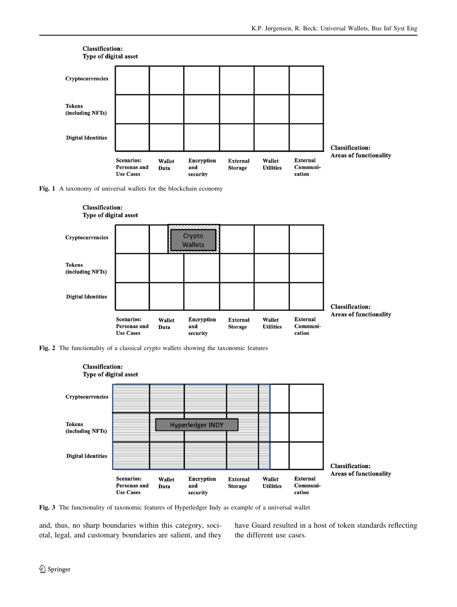<span id="page-5-0"></span>

Fig. 1 A taxonomy of universal wallets for the blockchain economy







Fig. 3 The functionality of taxonomic features of Hyperledger Indy as example of a universal wallet

and, thus, no sharp boundaries within this category, societal, legal, and customary boundaries are salient, and they have Guard resulted in a host of token standards reflecting the different use cases.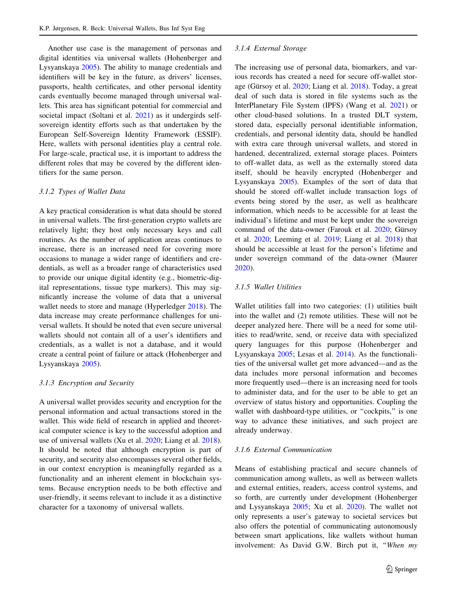Another use case is the management of personas and digital identities via universal wallets (Hohenberger and Lysyanskaya [2005](#page-9-0)). The ability to manage credentials and identifiers will be key in the future, as drivers' licenses, passports, health certificates, and other personal identity cards eventually become managed through universal wallets. This area has significant potential for commercial and societal impact (Soltani et al. [2021](#page-10-0)) as it undergirds selfsovereign identity efforts such as that undertaken by the European Self-Sovereign Identity Framework (ESSIF). Here, wallets with personal identities play a central role. For large-scale, practical use, it is important to address the different roles that may be covered by the different identifiers for the same person.

## 3.1.2 Types of Wallet Data

A key practical consideration is what data should be stored in universal wallets. The first-generation crypto wallets are relatively light; they host only necessary keys and call routines. As the number of application areas continues to increase, there is an increased need for covering more occasions to manage a wider range of identifiers and credentials, as well as a broader range of characteristics used to provide our unique digital identity (e.g., biometric-digital representations, tissue type markers). This may significantly increase the volume of data that a universal wallet needs to store and manage (Hyperledger [2018\)](#page-9-0). The data increase may create performance challenges for universal wallets. It should be noted that even secure universal wallets should not contain all of a user's identifiers and credentials, as a wallet is not a database, and it would create a central point of failure or attack (Hohenberger and Lysyanskaya [2005](#page-9-0)).

# 3.1.3 Encryption and Security

A universal wallet provides security and encryption for the personal information and actual transactions stored in the wallet. This wide field of research in applied and theoretical computer science is key to the successful adoption and use of universal wallets (Xu et al. [2020](#page-10-0); Liang et al. [2018](#page-9-0)). It should be noted that although encryption is part of security, and security also encompasses several other fields, in our context encryption is meaningfully regarded as a functionality and an inherent element in blockchain systems. Because encryption needs to be both effective and user-friendly, it seems relevant to include it as a distinctive character for a taxonomy of universal wallets.

#### 3.1.4 External Storage

The increasing use of personal data, biomarkers, and various records has created a need for secure off-wallet stor-age (Gürsoy et al. [2020;](#page-9-0) Liang et al. [2018\)](#page-9-0). Today, a great deal of such data is stored in file systems such as the InterPlanetary File System (IPFS) (Wang et al. [2021](#page-10-0)) or other cloud-based solutions. In a trusted DLT system, stored data, especially personal identifiable information, credentials, and personal identity data, should be handled with extra care through universal wallets, and stored in hardened, decentralized, external storage places. Pointers to off-wallet data, as well as the externally stored data itself, should be heavily encrypted (Hohenberger and Lysyanskaya [2005\)](#page-9-0). Examples of the sort of data that should be stored off-wallet include transaction logs of events being stored by the user, as well as healthcare information, which needs to be accessible for at least the individual's lifetime and must be kept under the sovereign command of the data-owner (Farouk et al.  $2020$ ; Gürsoy et al. [2020](#page-9-0); Leeming et al. [2019;](#page-9-0) Liang et al. [2018\)](#page-9-0) that should be accessible at least for the person's lifetime and under sovereign command of the data-owner (Maurer [2020](#page-10-0)).

#### 3.1.5 Wallet Utilities

Wallet utilities fall into two categories: (1) utilities built into the wallet and (2) remote utilities. These will not be deeper analyzed here. There will be a need for some utilities to read/write, send, or receive data with specialized query languages for this purpose (Hohenberger and Lysyanskaya [2005;](#page-9-0) Lesas et al. [2014](#page-9-0)). As the functionalities of the universal wallet get more advanced—and as the data includes more personal information and becomes more frequently used—there is an increasing need for tools to administer data, and for the user to be able to get an overview of status history and opportunities. Coupling the wallet with dashboard-type utilities, or "cockpits," is one way to advance these initiatives, and such project are already underway.

## 3.1.6 External Communication

Means of establishing practical and secure channels of communication among wallets, as well as between wallets and external entities, readers, access control systems, and so forth, are currently under development (Hohenberger and Lysyanskaya [2005;](#page-9-0) Xu et al. [2020\)](#page-10-0). The wallet not only represents a user's gateway to societal services but also offers the potential of communicating autonomously between smart applications, like wallets without human involvement: As David G.W. Birch put it, ''When my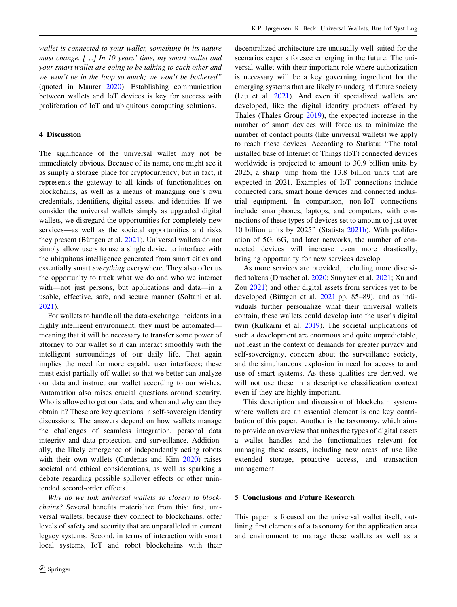<span id="page-7-0"></span>wallet is connected to your wallet, something in its nature must change. […] In 10 years' time, my smart wallet and your smart wallet are going to be talking to each other and we won't be in the loop so much; we won't be bothered'' (quoted in Maurer [2020](#page-10-0)). Establishing communication between wallets and IoT devices is key for success with proliferation of IoT and ubiquitous computing solutions.

## 4 Discussion

The significance of the universal wallet may not be immediately obvious. Because of its name, one might see it as simply a storage place for cryptocurrency; but in fact, it represents the gateway to all kinds of functionalities on blockchains, as well as a means of managing one's own credentials, identifiers, digital assets, and identities. If we consider the universal wallets simply as upgraded digital wallets, we disregard the opportunities for completely new services—as well as the societal opportunities and risks they present (Büttgen et al.  $2021$ ). Universal wallets do not simply allow users to use a single device to interface with the ubiquitous intelligence generated from smart cities and essentially smart everything everywhere. They also offer us the opportunity to track what we do and who we interact with—not just persons, but applications and data—in a usable, effective, safe, and secure manner (Soltani et al. [2021\)](#page-10-0).

For wallets to handle all the data-exchange incidents in a highly intelligent environment, they must be automated meaning that it will be necessary to transfer some power of attorney to our wallet so it can interact smoothly with the intelligent surroundings of our daily life. That again implies the need for more capable user interfaces; these must exist partially off-wallet so that we better can analyze our data and instruct our wallet according to our wishes. Automation also raises crucial questions around security. Who is allowed to get our data, and when and why can they obtain it? These are key questions in self-sovereign identity discussions. The answers depend on how wallets manage the challenges of seamless integration, personal data integrity and data protection, and surveillance. Additionally, the likely emergence of independently acting robots with their own wallets (Cardenas and Kim [2020](#page-9-0)) raises societal and ethical considerations, as well as sparking a debate regarding possible spillover effects or other unintended second-order effects.

Why do we link universal wallets so closely to blockchains? Several benefits materialize from this: first, universal wallets, because they connect to blockchains, offer levels of safety and security that are unparalleled in current legacy systems. Second, in terms of interaction with smart local systems, IoT and robot blockchains with their

decentralized architecture are unusually well-suited for the scenarios experts foresee emerging in the future. The universal wallet with their important role where authorization is necessary will be a key governing ingredient for the emerging systems that are likely to undergird future society (Liu et al. [2021](#page-9-0)). And even if specialized wallets are developed, like the digital identity products offered by Thales (Thales Group [2019](#page-10-0)), the expected increase in the number of smart devices will force us to minimize the number of contact points (like universal wallets) we apply to reach these devices. According to Statista: ''The total installed base of Internet of Things (IoT) connected devices worldwide is projected to amount to 30.9 billion units by 2025, a sharp jump from the 13.8 billion units that are expected in 2021. Examples of IoT connections include connected cars, smart home devices and connected industrial equipment. In comparison, non-IoT connections include smartphones, laptops, and computers, with connections of these types of devices set to amount to just over 10 billion units by 2025'' (Statista [2021b\)](#page-10-0). With proliferation of 5G, 6G, and later networks, the number of connected devices will increase even more drastically, bringing opportunity for new services develop.

As more services are provided, including more diversified tokens (Draschet al. [2020;](#page-9-0) Sunyaev et al. [2021;](#page-10-0) Xu and Zou [2021\)](#page-10-0) and other digital assets from services yet to be developed (Büttgen et al.  $2021$  pp. 85–89), and as individuals further personalize what their universal wallets contain, these wallets could develop into the user's digital twin (Kulkarni et al. [2019](#page-9-0)). The societal implications of such a development are enormous and quite unpredictable, not least in the context of demands for greater privacy and self-sovereignty, concern about the surveillance society, and the simultaneous explosion in need for access to and use of smart systems. As these qualities are derived, we will not use these in a descriptive classification context even if they are highly important.

This description and discussion of blockchain systems where wallets are an essential element is one key contribution of this paper. Another is the taxonomy, which aims to provide an overview that unites the types of digital assets a wallet handles and the functionalities relevant for managing these assets, including new areas of use like extended storage, proactive access, and transaction management.

# 5 Conclusions and Future Research

This paper is focused on the universal wallet itself, outlining first elements of a taxonomy for the application area and environment to manage these wallets as well as a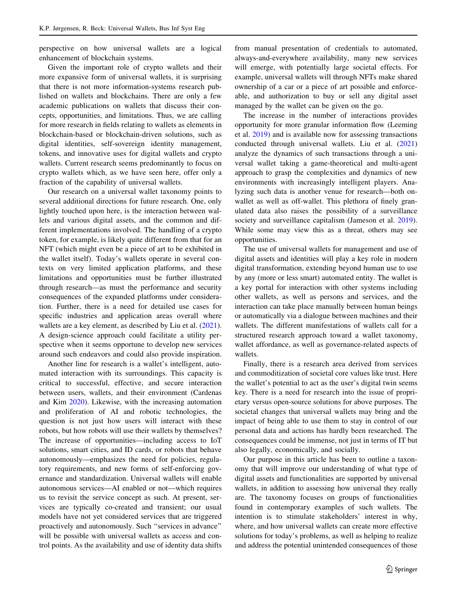perspective on how universal wallets are a logical enhancement of blockchain systems.

Given the important role of crypto wallets and their more expansive form of universal wallets, it is surprising that there is not more information-systems research published on wallets and blockchains. There are only a few academic publications on wallets that discuss their concepts, opportunities, and limitations. Thus, we are calling for more research in fields relating to wallets as elements in blockchain-based or blockchain-driven solutions, such as digital identities, self-sovereign identity management, tokens, and innovative uses for digital wallets and crypto wallets. Current research seems predominantly to focus on crypto wallets which, as we have seen here, offer only a fraction of the capability of universal wallets.

Our research on a universal wallet taxonomy points to several additional directions for future research. One, only lightly touched upon here, is the interaction between wallets and various digital assets, and the common and different implementations involved. The handling of a crypto token, for example, is likely quite different from that for an NFT (which might even be a piece of art to be exhibited in the wallet itself). Today's wallets operate in several contexts on very limited application platforms, and these limitations and opportunities must be further illustrated through research—as must the performance and security consequences of the expanded platforms under consideration. Further, there is a need for detailed use cases for specific industries and application areas overall where wallets are a key element, as described by Liu et al.  $(2021)$  $(2021)$ . A design-science approach could facilitate a utility perspective when it seems opportune to develop new services around such endeavors and could also provide inspiration.

Another line for research is a wallet's intelligent, automated interaction with its surroundings. This capacity is critical to successful, effective, and secure interaction between users, wallets, and their environment (Cardenas and Kim [2020](#page-9-0)). Likewise, with the increasing automation and proliferation of AI and robotic technologies, the question is not just how users will interact with these robots, but how robots will use their wallets by themselves? The increase of opportunities—including access to IoT solutions, smart cities, and ID cards, or robots that behave autonomously—emphasizes the need for policies, regulatory requirements, and new forms of self-enforcing governance and standardization. Universal wallets will enable autonomous services—AI enabled or not—which requires us to revisit the service concept as such. At present, services are typically co-created and transient; our usual models have not yet considered services that are triggered proactively and autonomously. Such ''services in advance'' will be possible with universal wallets as access and control points. As the availability and use of identity data shifts

from manual presentation of credentials to automated, always-and-everywhere availability, many new services will emerge, with potentially large societal effects. For example, universal wallets will through NFTs make shared ownership of a car or a piece of art possible and enforceable, and authorization to buy or sell any digital asset managed by the wallet can be given on the go.

The increase in the number of interactions provides opportunity for more granular information flow (Leeming et al. [2019](#page-9-0)) and is available now for assessing transactions conducted through universal wallets. Liu et al. ([2021\)](#page-9-0) analyze the dynamics of such transactions through a universal wallet taking a game-theoretical and multi-agent approach to grasp the complexities and dynamics of new environments with increasingly intelligent players. Analyzing such data is another venue for research—both onwallet as well as off-wallet. This plethora of finely granulated data also raises the possibility of a surveillance society and surveillance capitalism (Jameson et al. [2019](#page-9-0)). While some may view this as a threat, others may see opportunities.

The use of universal wallets for management and use of digital assets and identities will play a key role in modern digital transformation, extending beyond human use to use by any (more or less smart) automated entity. The wallet is a key portal for interaction with other systems including other wallets, as well as persons and services, and the interaction can take place manually between human beings or automatically via a dialogue between machines and their wallets. The different manifestations of wallets call for a structured research approach toward a wallet taxonomy, wallet affordance, as well as governance-related aspects of wallets.

Finally, there is a research area derived from services and commoditization of societal core values like trust. Here the wallet's potential to act as the user's digital twin seems key. There is a need for research into the issue of proprietary versus open-source solutions for above purposes. The societal changes that universal wallets may bring and the impact of being able to use them to stay in control of our personal data and actions has hardly been researched. The consequences could be immense, not just in terms of IT but also legally, economically, and socially.

Our purpose in this article has been to outline a taxonomy that will improve our understanding of what type of digital assets and functionalities are supported by universal wallets, in addition to assessing how universal they really are. The taxonomy focuses on groups of functionalities found in contemporary examples of such wallets. The intention is to stimulate stakeholders' interest in why, where, and how universal wallets can create more effective solutions for today's problems, as well as helping to realize and address the potential unintended consequences of those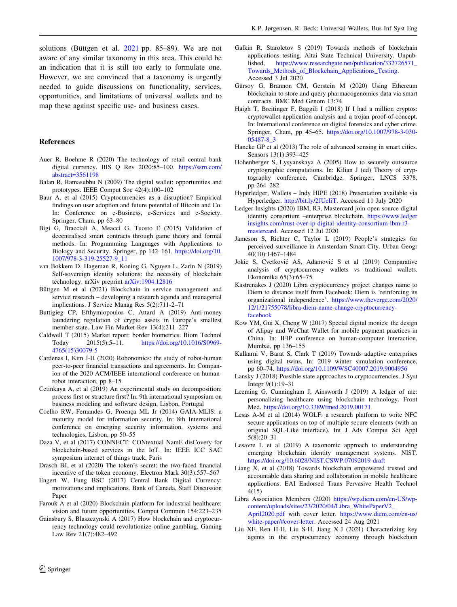<span id="page-9-0"></span>solutions (Büttgen et al.  $2021$  pp. 85–89). We are not aware of any similar taxonomy in this area. This could be an indication that it is still too early to formulate one. However, we are convinced that a taxonomy is urgently needed to guide discussions on functionality, services, opportunities, and limitations of universal wallets and to map these against specific use- and business cases.

## References

- Auer R, Boehme R (2020) The technology of retail central bank digital currency. BIS Q Rev 2020:85–100. [https://ssrn.com/](https://ssrn.com/abstract=3561198) [abstract=3561198](https://ssrn.com/abstract=3561198)
- Balan R, Ramasubbu N (2009) The digital wallet: opportunities and prototypes. IEEE Comput Soc 42(4):100–102
- Baur A, et al (2015) Cryptocurrencies as a disruption? Empirical findings on user adoption and future potential of Bitcoin and Co. In: Conference on e-Business, e-Services and e-Society. Springer, Cham, pp 63–80
- Bigi G, Bracciali A, Meacci G, Tuosto E (2015) Validation of decentralised smart contracts through game theory and formal methods. In: Programming Languages with Applications to Biology and Security. Springer, pp 142–161. [https://doi.org/10.](https://doi.org/10.1007/978-3-319-25527-9_11) [1007/978-3-319-25527-9\\_11](https://doi.org/10.1007/978-3-319-25527-9_11)
- van Bokkem D, Hageman R, Koning G, Nguyen L, Zarin N (2019) Self-sovereign identity solutions: the necessity of blockchain technology. arXiv preprint arXiv:1904.12816
- Büttgen M et al (2021) Blockchain in service management and service research – developing a research agenda and managerial implications. J Service Manag Res 5(2):711-2–71
- Buttigieg CP, Efthymiopoulos C, Attard A (2019) Anti-money laundering regulation of crypto assets in Europe's smallest member state. Law Fin Market Rev 13(4):211–227
- Caldwell T (2015) Market report: border biometrics. Biom Technol Today 2015(5):5–11. [https://doi.org/10.1016/S0969-](https://doi.org/10.1016/S0969-4765(15)30079-5) [4765\(15\)30079-5](https://doi.org/10.1016/S0969-4765(15)30079-5)
- Cardenas I, Kim J-H (2020) Robonomics: the study of robot-human peer-to-peer financial transactions and agreements. In: Companion of the 2020 ACM/IEEE international conference on humanrobot interaction, pp 8–15
- Cetinkaya A, et al (2019) An experimental study on decomposition: process first or structure first? In: 9th international symposium on business modeling and software design, Lisbon, Portugal
- Coelho RW, Fernandes G, Proença ML Jr (2014) GAIA-MLIS: a maturity model for information security. In: 8th International conference on emerging security information, systems and technologies, Lisbon, pp 50–55
- Daza V, et al (2017) CONNECT: CONtextual NamE disCovery for blockchain-based services in the IoT. In: IEEE ICC SAC symposium internet of things track, Paris
- Drasch BJ, et al (2020) The token's secret: the two-faced financial incentive of the token economy. Electron Mark 30(3):557–567
- Engert W, Fung BSC (2017) Central Bank Digital Currency: motivations and implications. Bank of Canada, Staff Discussion Paper
- Farouk A et al (2020) Blockchain platform for industrial healthcare: vision and future opportunities. Comput Commun 154:223–235
- Gainsbury S, Blaszczynski A (2017) How blockchain and cryptocurrency technology could revolutionize online gambling. Gaming Law Rev 21(7):482–492
- Galkin R, Staroletov S (2019) Towards methods of blockchain applications testing. Altai State Technical University. Unpublished, [https://www.researchgate.net/publication/332726571\\_](https://www.researchgate.net/publication/332726571_Towards_Methods_of_Blockchain_Applications_Testing) [Towards\\_Methods\\_of\\_Blockchain\\_Applications\\_Testing](https://www.researchgate.net/publication/332726571_Towards_Methods_of_Blockchain_Applications_Testing). Accessed 3 Jul 2020
- Gürsoy G, Brannon CM, Gerstein M (2020) Using Ethereum blockchain to store and query pharmacogenomics data via smart contracts. BMC Med Genom 13:74
- Haigh T, Breitinger F, Baggili I (2018) If I had a million cryptos: cryptowallet application analysis and a trojan proof-of-concept. In: International conference on digital forensics and cyber crime. Springer, Cham, pp 45–65. [https://doi.org/10.1007/978-3-030-](https://doi.org/10.1007/978-3-030-05487-8_3) [05487-8\\_3](https://doi.org/10.1007/978-3-030-05487-8_3)
- Hancke GP et al (2013) The role of advanced sensing in smart cities. Sensors 13(1):393–425
- Hohenberger S, Lysyanskaya A (2005) How to securely outsource cryptographic computations. In: Kilian J (ed) Theory of cryptography conference, Cambridge. Springer, LNCS 3378, pp 264–282
- Hyperledger, Wallets Indy HIPE (2018) Presentation available via Hyperledger. [http://bit.ly/2JUcIiT.](http://bit.ly/2JUcIiT) Accessed 11 July 2020
- Ledger Insights (2020) IBM, R3, Mastercard join open source digital identity consortium –enterprise blockchain. [https://www.ledger](https://www.ledgerinsights.com/trust-over-ip-digital-identity-consortium-ibm-r3-mastercard) [insights.com/trust-over-ip-digital-identity-consortium-ibm-r3](https://www.ledgerinsights.com/trust-over-ip-digital-identity-consortium-ibm-r3-mastercard) [mastercard](https://www.ledgerinsights.com/trust-over-ip-digital-identity-consortium-ibm-r3-mastercard). Accessed 12 Jul 2020
- Jameson S, Richter C, Taylor L (2019) People's strategies for perceived surveillance in Amsterdam Smart City. Urban Geogr 40(10):1467–1484
- Jokic S, Cvetković AS, Adamović S et al (2019) Comparative analysis of cryptocurrency wallets vs traditional wallets. Ekonomika 65(3):65–75
- Kastrenakes J (2020) Libra cryptocurrency project changes name to Diem to distance itself from Facebook; Diem is 'reinforcing its organizational independence'. [https://www.theverge.com/2020/](https://www.theverge.com/2020/12/1/21755078/libra-diem-name-change-cryptocurrency-facebook) [12/1/21755078/libra-diem-name-change-cryptocurrency](https://www.theverge.com/2020/12/1/21755078/libra-diem-name-change-cryptocurrency-facebook)[facebook](https://www.theverge.com/2020/12/1/21755078/libra-diem-name-change-cryptocurrency-facebook)
- Kow YM, Gui X, Cheng W (2017) Special digital monies: the design of Alipay and WeChat Wallet for mobile payment practices in China. In: IFIP conference on human-computer interaction, Mumbai, pp 136–155
- Kulkarni V, Barat S, Clark T (2019) Towards adaptive enterprises using digital twins. In: 2019 winter simulation conference, pp 60–74. <https://doi.org/10.1109/WSC40007.2019.9004956>
- Lansky J (2018) Possible state approaches to cryptocurrencies. J Syst Integr 9(1):19–31
- Leeming G, Cunningham J, Ainsworth J (2019) A ledger of me: personalizing healthcare using blockchain technology. Front Med. <https://doi.org/10.3389/fmed.2019.00171>
- Lesas A-M et al (2014) WOLF: a research platform to write NFC secure applications on top of multiple secure elements (with an original SQL-Like interface). Int J Adv Comput Sci Appl 5(8):20–31
- Lesavre L et al (2019) A taxonomic approach to understanding emerging blockchain identity management systems. NIST. <https://doi.org/10.6028/NIST.CSWP.07092019-draft>
- Liang X, et al (2018) Towards blockchain empowered trusted and accountable data sharing and collaboration in mobile healthcare applications. EAI Endorsed Trans Pervasive Health Technol 4(15)
- Libra Association Members (2020) [https://wp.diem.com/en-US/wp](https://wp.diem.com/en-US/wp-content/uploads/sites/23/2020/04/Libra_WhitePaperV2_April2020.pdf)[content/uploads/sites/23/2020/04/Libra\\_WhitePaperV2\\_](https://wp.diem.com/en-US/wp-content/uploads/sites/23/2020/04/Libra_WhitePaperV2_April2020.pdf) [April2020.pdf](https://wp.diem.com/en-US/wp-content/uploads/sites/23/2020/04/Libra_WhitePaperV2_April2020.pdf) with cover letter. [https://www.diem.com/en-us/](https://www.diem.com/en-us/white-paper/#cover-letter) [white-paper/#cover-letter.](https://www.diem.com/en-us/white-paper/#cover-letter) Accessed 24 Aug 2021
- Liu XF, Ren H-H, Liu S-H, Jiang X-J (2021) Characterizing key agents in the cryptocurrency economy through blockchain